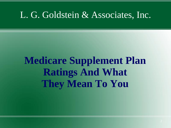# **Medicare Supplement Plan Ratings And What They Mean To You**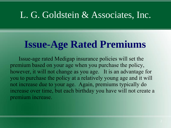## **Issue-Age Rated Premiums**

Issue-age rated Medigap insurance policies will set the premium based on your age when you purchase the policy, however, it will not change as you age. It is an advantage for you to purchase the policy at a relatively young age and it will not increase due to your age. Again, premiums typically do increase over time, but each birthday you have will not create a premium increase.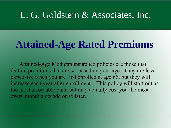## **Attained-Age Rated Premiums**

Attained-Age Medigap insurance policies are those that feature premiums that are set based on your age. They are less expensive when you are first enrolled at age 65, but they will increase each year after enrollment. This policy will start out as the most affordable plan, but may actually cost you the most every month a decade or so later.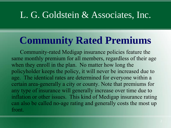## **Community Rated Premiums**

Community-rated Medigap insurance policies feature the same monthly premium for all members, regardless of their age when they enroll in the plan. No matter how long the policyholder keeps the policy, it will never be increased due to age. The identical rates are determined for everyone within a certain area-generally a city or county. Note that premiums for any type of insurance will generally increase over time due to inflation or other issues. This kind of Medigap insurance rating can also be called no-age rating and generally costs the most up front.